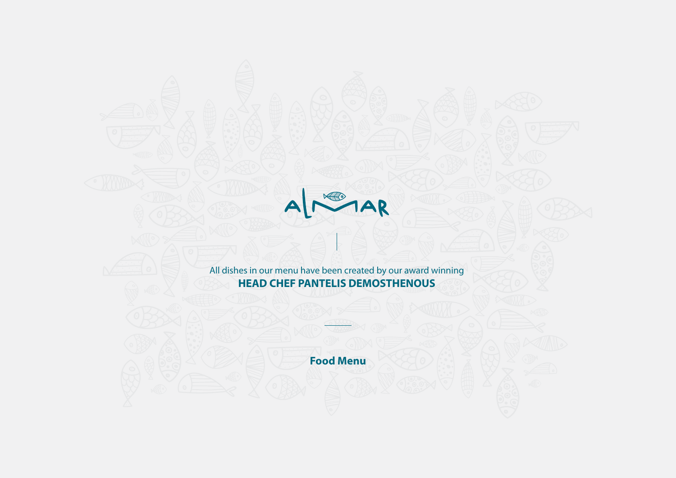

All dishes in our menu have been created by our award winning **HEAD CHEF PANTELIS DEMOSTHENOUS**

**Food Menu**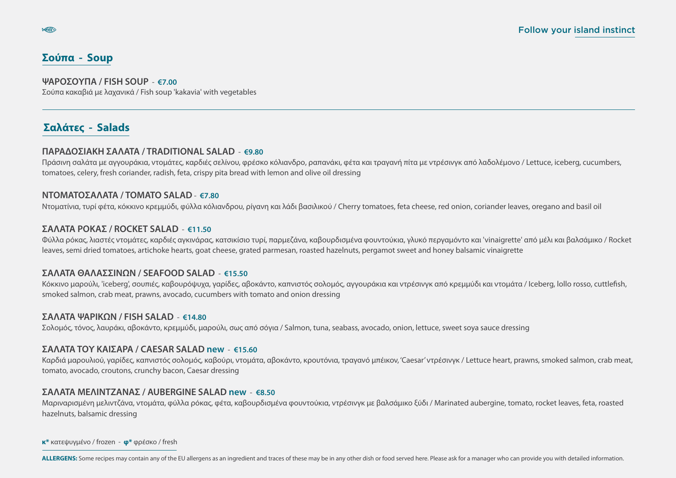## **Σούπα - Soup**

 $\sqrt{2}$ 

## **ΨΑΡΟΣΟΥΠΑ / FISH SOUP** - **€7.00**

Σούπα κακαβιά με λαχανικά / Fish soup 'kakavia' with vegetables

## **Σαλάτες - Salads**

#### **ΠΑΡΑΔΟΣΙΑΚΗ ΣΑΛΑΤΑ / TRADITIONAL SALAD** - **€9.80**

Πράσινη σαλάτα με αγγουράκια, ντομάτες, καρδιές σελίνου, φρέσκο κόλιανδρο, ραπανάκι, φέτα και τραγανή πίτα με ντρέσινγκ από λαδολέμονο / Lettuce, iceberg, cucumbers, tomatoes, celery, fresh coriander, radish, feta, crispy pita bread with lemon and olive oil dressing

#### **ΝΤΟΜΑΤΟΣΑΛΑΤΑ / TOMATO SALAD** - **€7.80**

Nτοματίνια, τυρί φέτα, κόκκινο κρεμμύδι, φύλλα κόλιανδρου, ρίγανη και λάδι βασιλικού / Cherry tomatoes, feta cheese, red onion, coriander leaves, oregano and basil oil

#### **ΣΑΛΑΤΑ ΡΟΚΑΣ / ROCKET SALAD** - **€11.50**

Φύλλα ρόκας, λιαστές ντομάτες, καρδιές αγκινάρας, κατσικίσιο τυρί, παρμεζάνα, καβουρδισμένα φουντούκια, γλυκό περγαμόντο και 'vinaigrette' από μέλι και βαλσάμικο / Rocket leaves, semi dried tomatoes, artichoke hearts, goat cheese, grated parmesan, roasted hazelnuts, pergamοt sweet and honey balsamic vinaigrette

## **ΣΑΛΑΤΑ ΘΑΛΑΣΣΙΝΩΝ / SEAFOOD SALAD** - **€15.50**

Κόκκινο μαρούλι, 'iceberg', σουπιές, καβουρόψυχα, ναρίδες, αβοκάντο, καπνιστός σολομός, αγγουράκια και ντρέσινγκ από κρεμμύδι και ντομάτα / Iceberg, Jollo rosso, cuttlefish, smoked salmon, crab meat, prawns, avocado, cucumbers with tomato and onion dressing

#### **ΣΑΛΑΤΑ ΨΑΡΙΚΩΝ / FISH SALAD** - **€14.80**

Σολομός, τόνος, λαυράκι, αβοκάντο, κρεμμύδι, μαρούλι, σως από σόγια / Salmon, tuna, seabass, avocado, onion, lettuce, sweet soya sauce dressing

#### **ΣΑΛΑΤΑ ΤΟΥ ΚΑΙΣΑΡΑ / CAESAR SALAD new** - **€15.60**

Καρδιά μαρουλιού, γαρίδες, καπνιστός σολομός, καβούρι, ντομάτα, αβοκάντο, κρουτόνια, τραγανό μπέικον, 'Caesar' ντρέσινγκ / Lettuce heart, prawns, smoked salmon, crab meat, tomato, avocado, croutons, crunchy bacon, Caesar dressing

#### **ΣΑΛΑΤΑ ΜΕΛΙΝΤΖΑΝΑΣ / AUBERGINE SALAD new** - **€8.50**

Mαριναρισμένη μελιντζάνα, ντομάτα, φύλλα ρόκας, φέτα, καβουρδισμένα φουντούκια, ντρέσινγκ με βαλσάμικο ξύδι / Marinated aubergine, tomato, rocket leaves, feta, roasted hazelnuts, balsamic dressing

**κ\*** κατεψυγμένο / frozen - **φ\*** φρέσκο / fresh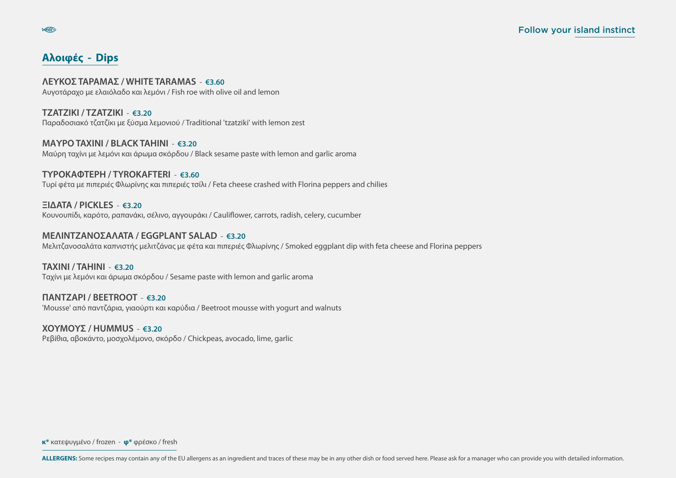# **Aλοιφές - Dips**

 $\sqrt{2}$ 

**ΛΕΥΚΟΣ ΤΑΡΑΜΑΣ / WHITE TARAMAS** - **€3.60** Aυγοτάραχο με ελαιόλαδο και λεμόνι / Fish roe with olive oil and lemon

**ΤΖΑΤΖΙΚΙ / TZATZIKI** - **€3.20** Παραδοσιακό τζατζίκι με ξύσμα λεμονιού / Traditional 'tzatziki' with lemon zest

**MΑΥΡΟ ΤΑΧΙΝΙ / ΒLACK ΤΑΗΙΝΙ** - **€3.20** Mαύρη ταχίνι με λεμόνι και άρωμα σκόρδου / Black sesame paste with lemon and garlic aroma

**ΤΥΡΟΚΑΦΤΕΡΗ / TYROKAFTERI** - **€3.60** Tυρί φέτα με πιπεριές Φλωρίνης και πιπεριές τσίλι / Feta cheese crashed with Florina peppers and chilies

**ΞΙΔΑΤΑ / PICKLES** - **€3.20** Κουνουπίδι, καρότο, ραπανάκι, σέλινο, αγγουράκι / CauliEower, carrots, radish, celery, cucumber

## **ΜΕΛΙΝΤΖΑΝΟΣΑΛΑΤΑ / EGGPLANT SALAD** - **€3.20**

Μελιτζανοσαλάτα καπνιστής μελιτζάνας με φέτα και πιπεριές Φλωρίνης / Smoked eggplant dip with feta cheese and Florina peppers

**ΤΑΧΙΝΙ / ΤΑΗΙΝΙ** - **€3.20** Tαχίνι με λεμόνι και άρωμα σκόρδου / Sesame paste with lemon and garlic aroma

**ΠΑΝΤΖΑΡΙ / BEETROOT** - **€3.20** 'Μousse' από παντζάρια, γιαούρτι και καρύδια / Βeetroot mousse with yogurt and walnuts

**ΧΟΥΜΟΥΣ / HUMΜUS** - **€3.20** Ρεβίθια, αβοκάντο, μοσχολέμονο, σκόρδο / Chickpeas, avocado, lime, garlic

**κ\*** κατεψυγμένο / frozen - **φ\*** φρέσκο / fresh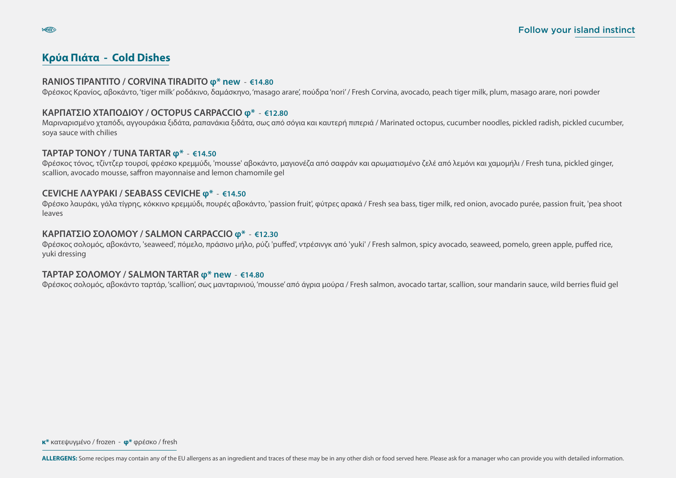## **Κρύα Πιάτα - Cold Dishes**

#### **RANIOS ΤΙΡΑΝΤΙΤΟ / CORVINA TIRADITO φ\* new** - **€14.80**

Φρέσκος Κρανίος, αβοκάντο, 'tiger milk' ροδάκινο, δαμάσκηνο, 'masago arare', πούδρα 'nori' / Fresh Corvina, avocado, peach tiger milk, plum, masago arare, nori powder

## **ΚΑΡΠΑΤΣΙΟ ΧΤΑΠΟΔΙΟΥ / OCTOPUS CARPACCIO φ\*** - **€12.80**

Μαριναρισμένο χταπόδι, αγγουράκια ξιδάτα, ραπανάκια ξιδάτα, σως από σόγια και καυτερή πιπεριά / Marinated octopus, cucumber noodles, pickled radish, pickled cucumber, soya sauce with chilies

#### **ΤΑΡΤΑΡ ΤΟΝΟΥ / ΤUNA TARTAR φ\*** - **€14.50**

Φρέσκος τόνος, τζίντζερ τουρσί, φρέσκο κρεμμύδι, 'mousse' αβοκάντο, μαγιονέζα από σαφράν και αρωματισμένο ζελέ από λεμόνι και χαμομήλι / Fresh tuna, pickled ginger, scallion, avocado mousse, saffron mayonnaise and lemon chamomile gel

## **CEVICHE ΛΑΥΡΑΚΙ / SEABASS CEVICHE φ\*** - **€14.50**

Φρέσκο λαυράκι, γάλα τίγρης, κόκκινο κρεμμύδι, πουρές αβοκάντο, 'passion fruit', φύτρες αρακά / Fresh sea bass, tiger milk, red onion, avocado purée, passion fruit, 'pea shoot leaves

#### **ΚΑΡΠΑΤΣΙΟ ΣΟΛΟΜΟΥ / SALMON CARPACCIO φ\*** - **€12.30**

Φρέσκος σολομός, αβοκάντο, 'seaweed', πόμελο, πράσινο μήλο, ρύζι 'puffed', ντρέσινγκ από 'yuki' / Fresh salmon, spicy avocado, seaweed, pomelo, green apple, puffed rice, yuki dressing

#### **ΤΑΡΤΑΡ ΣΟΛΟΜΟΥ / SALMON TARTAR φ\* new** - **€14.80**

Φρέσκος σολομός, αβοκάντο ταρτάρ, 'scallion', σως μανταρινιού, 'mousse' από άγρια μούρα / Fresh salmon, avocado tartar, scallion, sour mandarin sauce, wild berries Euid gel

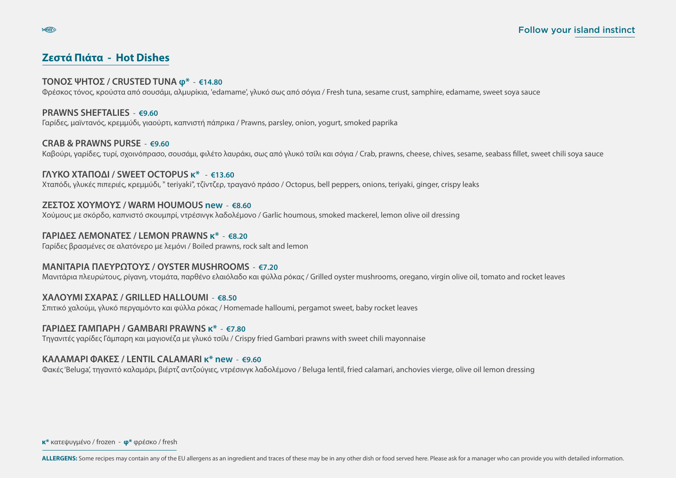## **Zεστά Πιάτα - Ηot Dishes**

 $\sqrt{2}$ 

#### **ΤΟΝΟΣ ΨΗΤΟΣ / CRUSTED TUNA φ\*** - **€14.80**

Φρέσκος τόνος, κρούστα από σουσάμι, αλμυρίκια, 'edamame', γλυκό σως από σόγια / Fresh tuna, sesame crust, samphire, edamame, sweet soya sauce

### **PRAWNS SHEFTALIES** - **€9.60**

Γαρίδες, μαϊντανός, κρεμμύδι, γιαούρτι, καπνιστή πάπρικα / Prawns, parsley, onion, yogurt, smoked paprika

#### **CRAB & PRAWNS PURSE** - **€9.60**

Καβούρι, γαρίδες, τυρί, σχοινόπρασο, σουσάμι, φιλέτο λαυράκι, σως από γλυκό τσίλι και σόγια / Crab, prawns, cheese, chives, sesame, seabass Allet, sweet chili soya sauce

#### **ΓΛΥΚΟ ΧΤΑΠΟΔΙ / SWEET OCTOPUS κ\*** - **€13.60**

Χταπόδι, γλυκές πιπεριές, κρεμμύδι, " teriyaki", τζίντζερ, τραγανό πράσο / Octopus, bell peppers, onions, teriyaki, ginger, crispy leaks

## **ΖΕΣΤΟΣ ΧΟΥΜΟΥΣ / WARM HOUMOUS new** - **€8.60**

Χούμους με σκόρδο, καπνιστό σκουμπρί, ντρέσινγκ λαδολέμονο / Garlic houmous, smoked mackerel, lemon olive oil dressing

### **ΓΑΡΙΔΕΣ ΛΕΜΟΝΑΤΕΣ / LEMON PRAWNS κ\*** - **€8.20**

Γαρίδες βρασμένες σε αλατόνερο με λεμόνι / Βοiled prawns, rock salt and lemon

## **ΜΑΝΙΤΑΡIA ΠΛΕΥΡΩΤΟΥΣ / OYSTER MUSHROOMS** - **€7.20**

Mανιτάρια πλευρώτους, ρίγανη, ντομάτα, παρθένο ελαιόλαδο και φύλλα ρόκας / Grilled oyster mushrooms, oregano, virgin olive oil, tomato and rocket leaves

## **ΧΑΛΟΥΜΙ ΣΧΑΡΑΣ / GRILLED HALLOUMI** - **€8.50**

Σπιτικό χαλούμι, γλυκό περγαμόντο και φύλλα ρόκας / Ηomemade halloumi, pergamot sweet, baby rocket leaves

#### **ΓΑΡΙΔΕΣ ΓΑΜΠΑΡΗ / GAMBΑRI PRAWNS κ\*** - **€7.80**

Tηγανιτές γαρίδες Γάμπαρη και μαγιονέζα με γλυκό τσίλι / Crispy fried Gambαri prawns with sweet chili mayonnaise

## **ΚΑΛΑΜΑΡΙ ΦΑΚΕΣ / LENTIL CALAMARI κ\* new** - **€9.60**

Φακές 'Beluga', τηγανιτό καλαμάρι, βιέρτζ αντζούγιες, ντρέσινγκ λαδολέμονο / Beluga lentil, fried calamari, anchovies vierge, olive oil lemon dressing

**κ\*** κατεψυγμένο / frozen - **φ\*** φρέσκο / fresh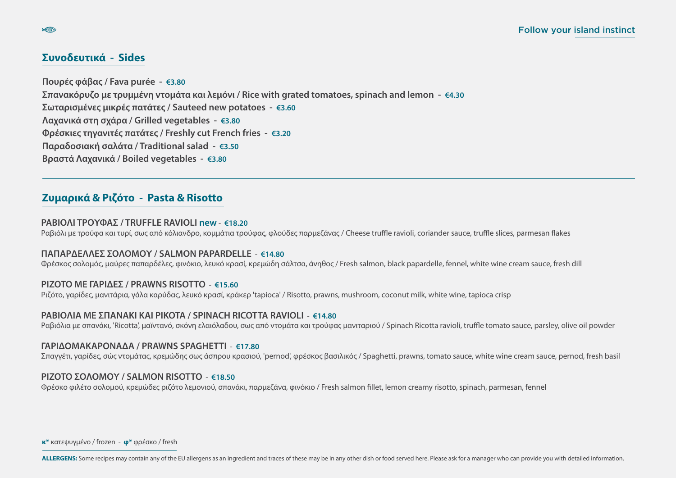## **Συνοδευτικά - Sides**

**Πουρές φάβας / Fava purée - €3.80 Σπανακόρυζο με τρυμμένη ντομάτα και λεμόνι / Rice with grated tomatoes, spinach and lemon - €4.30 Σωταρισμένες μικρές πατάτες / Sauteed new potatoes - €3.60 Λαχανικά στη σχάρα / Grilled vegetables - €3.80 Φρέσκιες τηγανιτές πατάτες / Freshly cut French fries - €3.20 Παραδοσιακή σαλάτα / Traditional salad - €3.50 Βραστά Λαχανικά / Boiled vegetables - €3.80**

## **Zυμαρικά & Ριζότο - Pasta & Risotto**

#### **ΡΑΒΙΟΛΙ ΤΡΟΥΦΑΣ / TRUFFLE RAVIOLI new** - **€18.20**

Ραβιόλι με τρούφα και τυρί, σως από κόλιανδρο, κομμάτια τρούφας, φλούδες παρμεζάνας / Cheese truffle ravioli, coriander sauce, truffle slices, parmesan flakes

## **ΠΑΠΑΡΔΕΛΛΕΣ ΣΟΛΟΜΟΥ / SALMON PAPARDELLE** - **€14.80**

Φρέσκος σολομός, μαύρες παπαρδέλες, φινόκιο, λευκό κρασί, κρεμώδη σάλτσα, άνηθος / Fresh salmon, black papardelle, fennel, white wine cream sauce, fresh dill

## **ΡΙΖΟΤΟ ΜΕ ΓΑΡΙΔΕΣ / PRAWNS RISOTTO** - **€15.60**

Ριζότο, γαρίδες, μανιτάρια, γάλα καρύδας, λευκό κρασί, κράκερ 'tapioca' / Risotto, prawns, mushroom, coconut milk, white wine, tapioca crisp

## **ΡΑΒΙΟΛΙΑ ΜΕ ΣΠΑΝΑΚΙ ΚΑΙ ΡΙΚΟΤΑ / SPINACH RICOTTA RAVIOLI** - **€14.80**

Pαβιόλια με σπανάκι, 'Ricotta', μαϊντανό, σκόνη ελαιόλαδου, σως από ντομάτα και τρούφας μανιταριού / Spinach Ricotta ravioli, truffle tomato sauce, parsley, olive oil powder

#### **ΓΑΡΙΔΟΜΑΚΑΡΟΝΑΔΑ / PRAWNS SPAGHETTI** - **€17.80**

Σπαγγέτι, γαρίδες, σώς ντομάτας, κρεμώδης σως άσπρου κρασιού, 'pernod', φρέσκος βασιλικός / Spaghetti, prawns, tomato sauce, white wine cream sauce, pernod, fresh basil

## **ΡΙΖΟΤΟ ΣΟΛΟΜΟΥ / SALMON RISOTTO** - **€18.50**

Φρέσκο φιλέτο σολομού, κρεμώδες ριζότο λεμονιού, σπανάκι, παρμεζάνα, φινόκιο / Fresh salmon Allet, lemon creamy risotto, spinach, parmesan, fennel

**κ\*** κατεψυγμένο / frozen - **φ\*** φρέσκο / fresh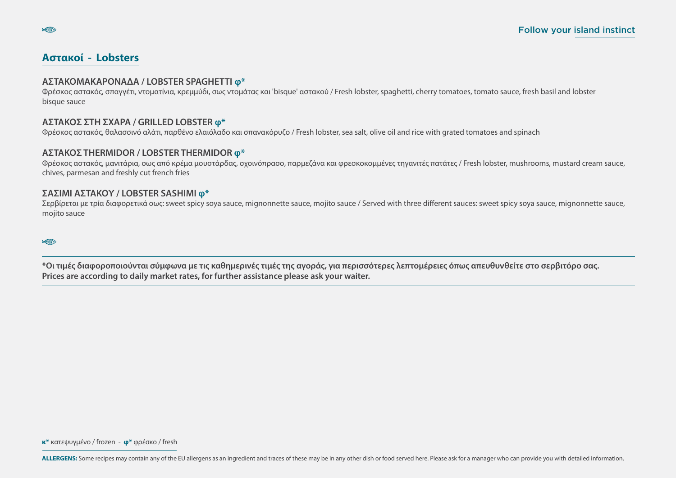## **Αστακοί - Lobsters**

## **ΑΣΤΑΚΟΜΑΚΑΡΟΝΑΔΑ / LOBSTER SPAGHETTI φ\***

Φρέσκος αστακός, σπαγγέτι, ντοματίνια, κρεμμύδι, σως ντομάτας και 'bisque' αστακού / Fresh lobster, spaghetti, cherry tomatoes, tomato sauce, fresh basil and lobster bisque sauce

## **ΑΣΤΑΚΟΣ ΣΤΗ ΣΧΑΡΑ / GRILLED LOBSTER φ\***

Φρέσκος αστακός, θαλασσινό αλάτι, παρθένο ελαιόλαδο και σπανακόρυζο / Fresh lobster, sea salt, olive oil and rice with grated tomatoes and spinach

## **ΑΣΤΑΚΟΣ THERMIDOR / LOBSTER THERMIDOR φ\***

Φρέσκος αστακός, μανιτάρια, σως από κρέμα μουστάρδας, σχοινόπρασο, παρμεζάνα και φρεσκοκομμένες τηγανιτές πατάτες / Fresh lobster, mushrooms, mustard cream sauce, chives, parmesan and freshly cut french fries

## **ΣΑΣΙΜΙ ΑΣΤΑΚΟΥ / LOBSTER SASHIMI φ\***

Σερβίρεται με τρία διαφορετικά σως: sweet spicy soya sauce, mignonnette sauce, mojito sauce / Served with three different sauces: sweet spicy soya sauce, mignonnette sauce, mojito sauce

 $\sqrt{2}$ 

\*Οι τιμές διαφοροποιούνται σύμφωνα με τις καθημερινές τιμές της αγοράς, για περισσότερες λεπτομέρειες όπως απευθυνθείτε στο σερβιτόρο σας. **Prices are according to daily market rates, for further assistance please ask your waiter.**

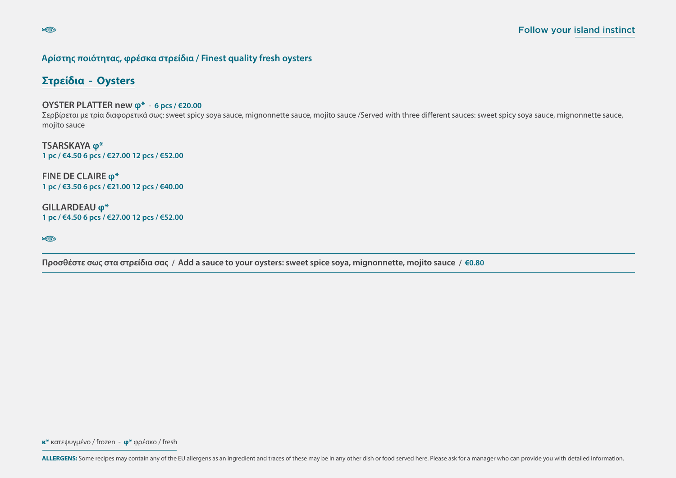**Αρίστης ποιότητας, φρέσκα στρείδια / Finest quality fresh oysters**

## **Στρείδια - Oysters**

#### **OYSTER PLATTER new φ\*** - **6 pcs / €20.00**

Σερβίρεται με τρία διαφορετικά σως: sweet spicy soya sauce, mignonnette sauce, mojito sauce /Served with three different sauces: sweet spicy soya sauce, mignonnette sauce, mojito sauce

**TSARSKAYA φ\* 1 pc / €4.50 6 pcs / €27.00 12 pcs / €52.00**

**FINE DE CLAIRE φ\* 1 pc / €3.50 6 pcs / €21.00 12 pcs / €40.00**

**GILLARDEAU φ\* 1 pc / €4.50 6 pcs / €27.00 12 pcs / €52.00**

 $\sqrt{2}$ 

 $\sqrt{2}$ 

**Προσθέστε σως στα στρείδια σας / Add a sauce to your oysters: sweet spice soya, mignonnette, mojito sauce / €0.80**

**κ\*** κατεψυγμένο / frozen - **φ\*** φρέσκο / fresh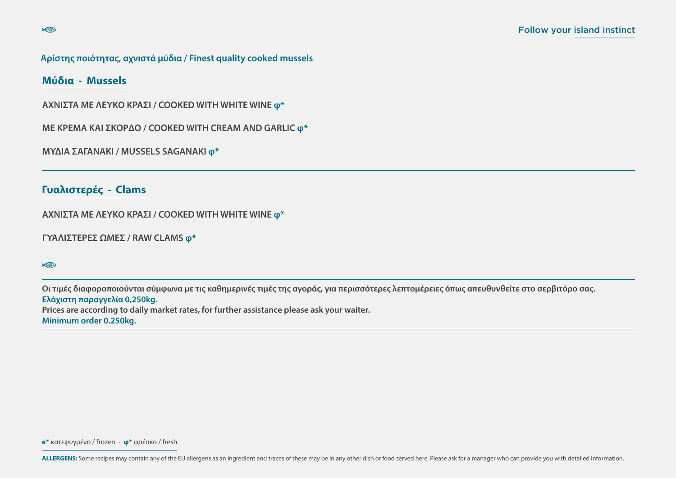**Aρίστης ποιότητας, αχνιστά μύδια / Finest quality cooked mussels**

**Μύδια - Mussels**

**ΑΧΝΙΣΤΑ ΜΕ ΛΕΥΚΟ ΚΡΑΣΙ / COOKED WITH WHITE WINE φ\***

**ΜΕ ΚΡΕΜΑ ΚΑΙ ΣΚΟΡΔΟ / COOKED WITH CREAM AND GARLIC φ\***

**ΜΥΔΙΑ ΣΑΓΑΝΑΚΙ / MUSSELS SAGANAKI φ\***

## **Γυαλιστερές - Clams**

**ΑΧΝΙΣΤΑ ΜΕ ΛΕΥΚΟ ΚΡΑΣΙ / COOKED WITH WHITE WINE φ\***

```
ΓΥΑΛΙΣΤΕΡΕΣ ΩΜΕΣ / RAW CLAMS φ*
```
 $\sqrt{2}$ 

Οι τιμές διαφοροποιούνται σύμφωνα με τις καθημερινές τιμές της αγοράς, για περισσότερες λεπτομέρειες όπως απευθυνθείτε στο σερβιτόρο σας. **Ελάχιστη παραγγελία 0,250kg.**

**Prices are according to daily market rates, for further assistance please ask your waiter. Minimum order 0.250kg.**

**κ\*** κατεψυγμένο / frozen - **φ\*** φρέσκο / fresh

**ALLERGENS:** Some recipes may contain any of the EU allergens as an ingredient and traces of these may be in any other dish or food served here. Please ask for a manager who can provide you with detailed information.

 $\sqrt{2}$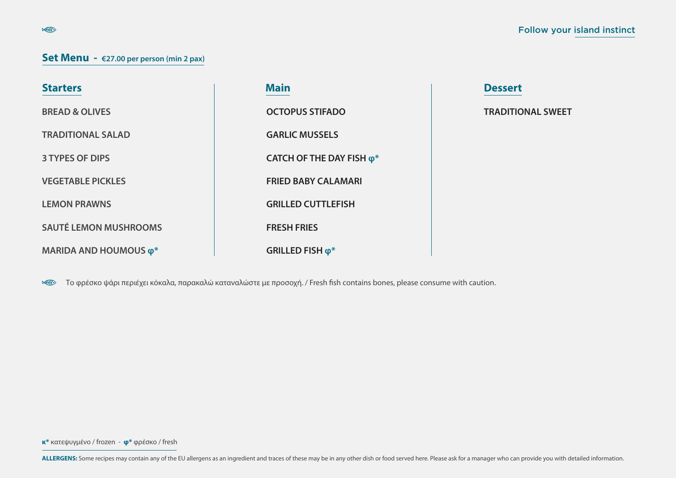## **Set Menu - €27.00 per person (min 2 pax)**

| <b>Starters</b>              | <b>Main</b>                       |
|------------------------------|-----------------------------------|
| <b>BREAD &amp; OLIVES</b>    | <b>OCTOPUS STIFADO</b>            |
| <b>TRADITIONAL SALAD</b>     | <b>GARLIC MUSSELS</b>             |
| <b>3 TYPES OF DIPS</b>       | CATCH OF THE DAY FISH $\varphi^*$ |
| <b>VEGETABLE PICKLES</b>     | <b>FRIED BABY CALAMARI</b>        |
| <b>LEMON PRAWNS</b>          | <b>GRILLED CUTTLEFISH</b>         |
| <b>SAUTÉ LEMON MUSHROOMS</b> | <b>FRESH FRIES</b>                |
| <b>MARIDA AND HOUMOUS φ*</b> | GRILLED FISH φ*                   |

## **Dessert**

**TRADITIONAL SWEET**

Το φρέσκο ψάρι περιέχει κόκαλα, παρακαλώ καταναλώστε με προσοχή. / Fresh fish contains bones, please consume with caution.  $\sqrt{2}$ 

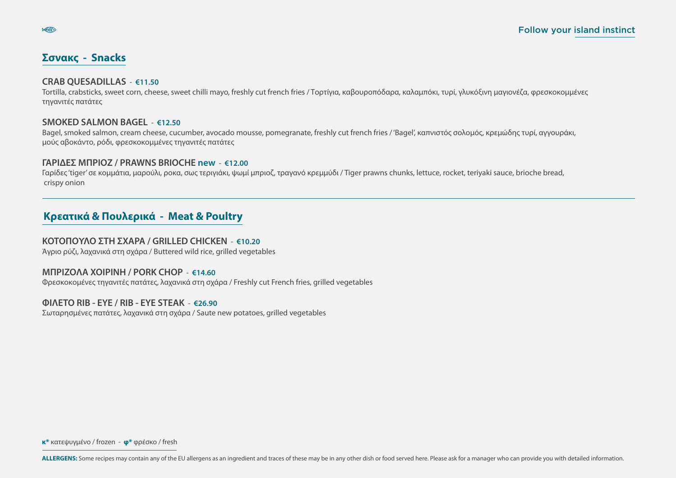## **Σσνακς - Snacks**

 $\sqrt{2}$ 

#### **CRAB QUESADILLAS** - **€11.50**

Τortilla, crabsticks, sweet corn, cheese, sweet chilli mayo, freshly cut french fries / Τορτίγια, καβουροπόδαρα, καλαμπόκι, τυρί, γλυκόξινη μαγιονέζα, φρεσκοκομμένες τηγανιτές πατάτες

#### **SMOKED SALMON BAGEL** - **€12.50**

Βagel, smoked salmon, cream cheese, cucumber, avocado mousse, pomegranate, freshly cut french fries / 'Βagel', καπνιστός σολομός, κρεμώδης τυρί, αγγουράκι, μούς αβοκάντο, ρόδι, φρεσκοκομμένες τηγανιτές πατάτες

#### **ΓΑΡΙΔΕΣ ΜΠΡΙΟΖ / PRAWNS BRIOCHE new** - **€12.00**

Γαρίδες 'tiger' σε κομμάτια, μαρούλι, ροκα, σως τεριγιάκι, ψωμί μπριοζ, τραγανό κρεμμύδι / Tiger prawns chunks, lettuce, rocket, teriyaki sauce, brioche bread, crispy onion

## **Κρεατικά & Πουλερικά - Meat & Poultry**

#### **ΚΟΤΟΠΟΥΛΟ ΣΤΗ ΣΧΑΡΑ / GRILLED CHICKEN** - **€10.20**

Άγριο ρύζι, λαχανικά στη σχάρα / Βuttered wild rice, grilled vegetables

#### **ΜΠΡΙΖΟΛΑ ΧΟΙΡΙΝΗ / PORK CHOP** - **€14.60**

Φρεσκοκομένες τηγανιτές πατάτες, λαχανικά στη σχάρα / Freshly cut French fries, grilled vegetables

#### **ΦΙΛΕΤΟ RIB - EYE / RIB - EYE STEAK** - **€26.90**

Σωταρησμένες πατάτες, λαχανικά στη σχάρα / Saute new potatoes, grilled vegetables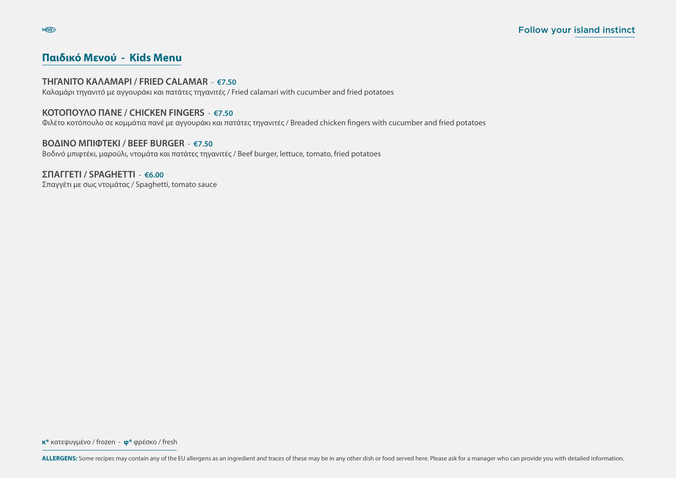## **Παιδικό Μενού - Kids Menu**

## **ΤΗΓΑΝΙΤΟ ΚΑΛΑΜΑΡΙ / FRIED CALAMAR** - **€7.50**

Kαλαμάρι τηγανιτό με αγγουράκι και πατάτες τηγανιτές / Fried calamari with cucumber and fried potatoes

## **KOTOΠΟΥΛΟ ΠΑΝΕ / CHICKEN FINGERS** - **€7.50**

Φιλέτο κοτόπουλο σε κομμάτια πανέ με αγγουράκι και πατάτες τηγανιτές / Breaded chicken fingers with cucumber and fried potatoes

## **ΒΟΔΙΝΟ ΜΠΙΦΤΕΚΙ / BEEF BURGER** - **€7.50**

Βοδινό μπιφτέκι, μαρούλι, ντομάτα και πατάτες τηγανιτές / Βeef burger, lettuce, tomato, fried potatoes

**ΣΠΑΓΓΕΤΙ / SPAGHETTI** - **€6.00** Σπαγγέτι με σως ντομάτας / Spaghetti, tomato sauce